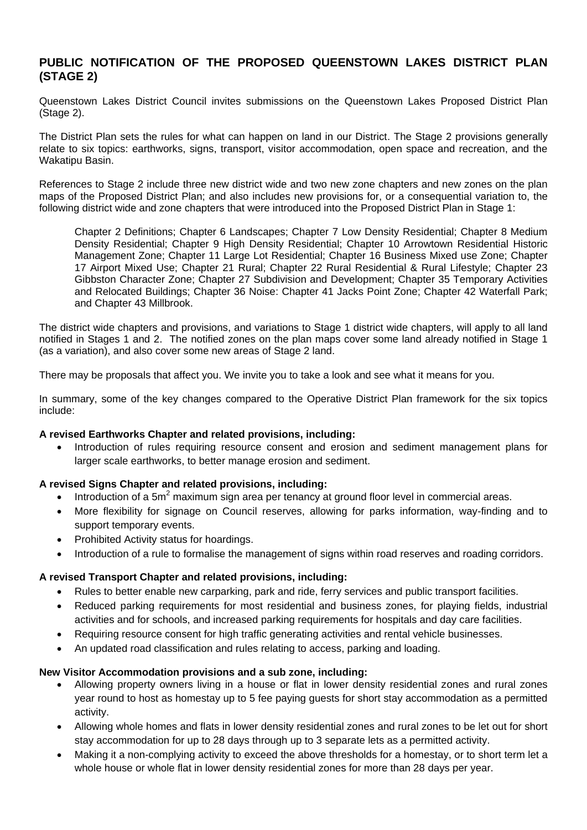# **PUBLIC NOTIFICATION OF THE PROPOSED QUEENSTOWN LAKES DISTRICT PLAN (STAGE 2)**

Queenstown Lakes District Council invites submissions on the Queenstown Lakes Proposed District Plan (Stage 2).

The District Plan sets the rules for what can happen on land in our District. The Stage 2 provisions generally relate to six topics: earthworks, signs, transport, visitor accommodation, open space and recreation, and the Wakatipu Basin.

References to Stage 2 include three new district wide and two new zone chapters and new zones on the plan maps of the Proposed District Plan; and also includes new provisions for, or a consequential variation to, the following district wide and zone chapters that were introduced into the Proposed District Plan in Stage 1:

Chapter 2 Definitions; Chapter 6 Landscapes; Chapter 7 Low Density Residential; Chapter 8 Medium Density Residential; Chapter 9 High Density Residential; Chapter 10 Arrowtown Residential Historic Management Zone; Chapter 11 Large Lot Residential; Chapter 16 Business Mixed use Zone; Chapter 17 Airport Mixed Use; Chapter 21 Rural; Chapter 22 Rural Residential & Rural Lifestyle; Chapter 23 Gibbston Character Zone; Chapter 27 Subdivision and Development; Chapter 35 Temporary Activities and Relocated Buildings; Chapter 36 Noise: Chapter 41 Jacks Point Zone; Chapter 42 Waterfall Park; and Chapter 43 Millbrook.

The district wide chapters and provisions, and variations to Stage 1 district wide chapters, will apply to all land notified in Stages 1 and 2. The notified zones on the plan maps cover some land already notified in Stage 1 (as a variation), and also cover some new areas of Stage 2 land.

There may be proposals that affect you. We invite you to take a look and see what it means for you.

In summary, some of the key changes compared to the Operative District Plan framework for the six topics include:

#### **A revised Earthworks Chapter and related provisions, including:**

• Introduction of rules requiring resource consent and erosion and sediment management plans for larger scale earthworks, to better manage erosion and sediment.

## **A revised Signs Chapter and related provisions, including:**

- $\bullet$  Introduction of a 5m<sup>2</sup> maximum sign area per tenancy at ground floor level in commercial areas.
- More flexibility for signage on Council reserves, allowing for parks information, way-finding and to support temporary events.
- Prohibited Activity status for hoardings.
- Introduction of a rule to formalise the management of signs within road reserves and roading corridors.

## **A revised Transport Chapter and related provisions, including:**

- Rules to better enable new carparking, park and ride, ferry services and public transport facilities.
- Reduced parking requirements for most residential and business zones, for playing fields, industrial activities and for schools, and increased parking requirements for hospitals and day care facilities.
- Requiring resource consent for high traffic generating activities and rental vehicle businesses.
- An updated road classification and rules relating to access, parking and loading.

#### **New Visitor Accommodation provisions and a sub zone, including:**

- Allowing property owners living in a house or flat in lower density residential zones and rural zones year round to host as homestay up to 5 fee paying guests for short stay accommodation as a permitted activity.
- Allowing whole homes and flats in lower density residential zones and rural zones to be let out for short stay accommodation for up to 28 days through up to 3 separate lets as a permitted activity.
- Making it a non-complying activity to exceed the above thresholds for a homestay, or to short term let a whole house or whole flat in lower density residential zones for more than 28 days per year.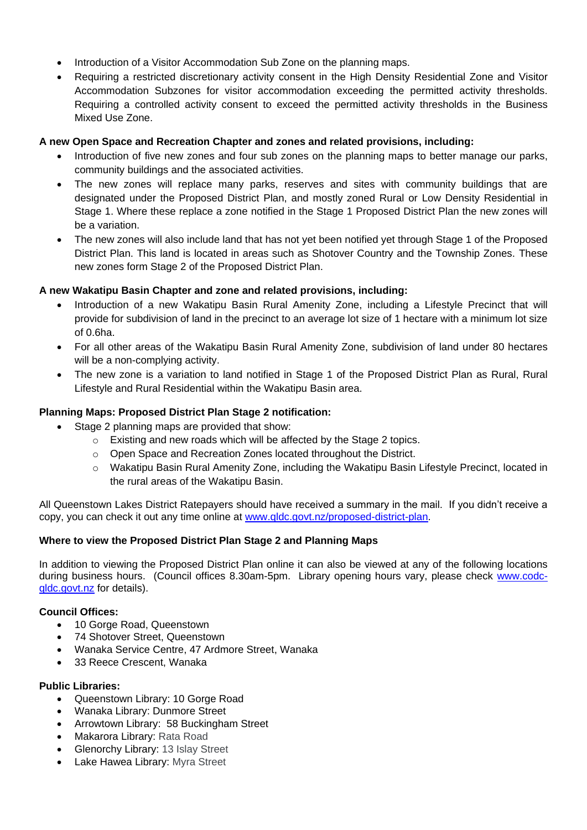- Introduction of a Visitor Accommodation Sub Zone on the planning maps.
- Requiring a restricted discretionary activity consent in the High Density Residential Zone and Visitor Accommodation Subzones for visitor accommodation exceeding the permitted activity thresholds. Requiring a controlled activity consent to exceed the permitted activity thresholds in the Business Mixed Use Zone.

## **A new Open Space and Recreation Chapter and zones and related provisions, including:**

- Introduction of five new zones and four sub zones on the planning maps to better manage our parks, community buildings and the associated activities.
- The new zones will replace many parks, reserves and sites with community buildings that are designated under the Proposed District Plan, and mostly zoned Rural or Low Density Residential in Stage 1. Where these replace a zone notified in the Stage 1 Proposed District Plan the new zones will be a variation.
- The new zones will also include land that has not yet been notified yet through Stage 1 of the Proposed District Plan. This land is located in areas such as Shotover Country and the Township Zones. These new zones form Stage 2 of the Proposed District Plan.

# **A new Wakatipu Basin Chapter and zone and related provisions, including:**

- Introduction of a new Wakatipu Basin Rural Amenity Zone, including a Lifestyle Precinct that will provide for subdivision of land in the precinct to an average lot size of 1 hectare with a minimum lot size of 0.6ha.
- For all other areas of the Wakatipu Basin Rural Amenity Zone, subdivision of land under 80 hectares will be a non-complying activity.
- The new zone is a variation to land notified in Stage 1 of the Proposed District Plan as Rural, Rural Lifestyle and Rural Residential within the Wakatipu Basin area.

# **Planning Maps: Proposed District Plan Stage 2 notification:**

- Stage 2 planning maps are provided that show:
	- o Existing and new roads which will be affected by the Stage 2 topics.
	- o Open Space and Recreation Zones located throughout the District.
	- o Wakatipu Basin Rural Amenity Zone, including the Wakatipu Basin Lifestyle Precinct, located in the rural areas of the Wakatipu Basin.

All Queenstown Lakes District Ratepayers should have received a summary in the mail. If you didn't receive a copy, you can check it out any time online at [www.qldc.govt.nz/proposed-district-plan.](http://www.qldc.govt.nz/proposed-district-plan)

## **Where to view the Proposed District Plan Stage 2 and Planning Maps**

In addition to viewing the Proposed District Plan online it can also be viewed at any of the following locations during business hours. (Council offices 8.30am-5pm. Library opening hours vary, please check [www.codc](http://www.codc-qldc.govt.nz/)[qldc.govt.nz](http://www.codc-qldc.govt.nz/) for details).

## **Council Offices:**

- 10 Gorge Road, Queenstown
- 74 Shotover Street, Queenstown
- Wanaka Service Centre, 47 Ardmore Street, Wanaka
- 33 Reece Crescent, Wanaka

## **Public Libraries:**

- Queenstown Library: 10 Gorge Road
- Wanaka Library: Dunmore Street
- Arrowtown Library: 58 Buckingham Street
- Makarora Library: Rata Road
- Glenorchy Library: 13 Islay Street
- Lake Hawea Library: Myra Street